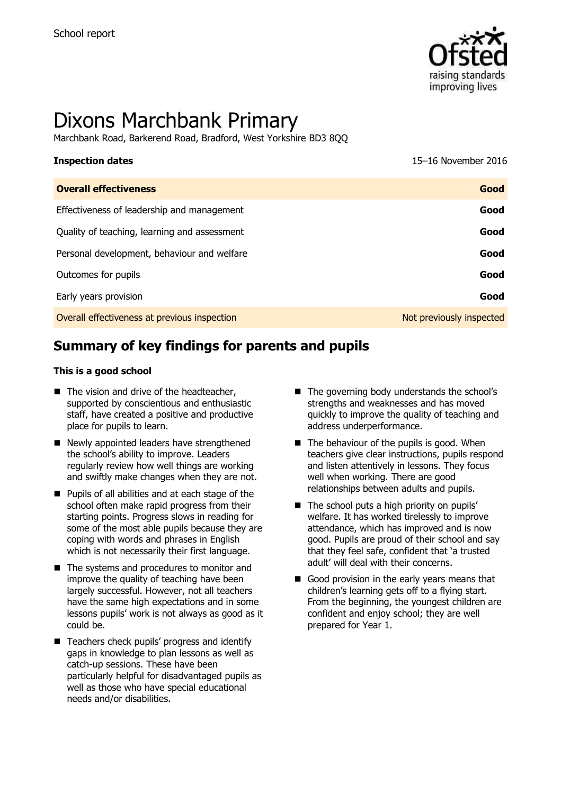

# Dixons Marchbank Primary

Marchbank Road, Barkerend Road, Bradford, West Yorkshire BD3 8QQ

| <b>Inspection dates</b>                      | 15-16 November 2016      |
|----------------------------------------------|--------------------------|
| <b>Overall effectiveness</b>                 | Good                     |
| Effectiveness of leadership and management   | Good                     |
| Quality of teaching, learning and assessment | Good                     |
| Personal development, behaviour and welfare  | Good                     |
| Outcomes for pupils                          | Good                     |
| Early years provision                        | Good                     |
| Overall effectiveness at previous inspection | Not previously inspected |

# **Summary of key findings for parents and pupils**

#### **This is a good school**

- The vision and drive of the headteacher, supported by conscientious and enthusiastic staff, have created a positive and productive place for pupils to learn.
- Newly appointed leaders have strengthened the school's ability to improve. Leaders regularly review how well things are working and swiftly make changes when they are not.
- **Pupils of all abilities and at each stage of the** school often make rapid progress from their starting points. Progress slows in reading for some of the most able pupils because they are coping with words and phrases in English which is not necessarily their first language.
- The systems and procedures to monitor and improve the quality of teaching have been largely successful. However, not all teachers have the same high expectations and in some lessons pupils' work is not always as good as it could be.
- Teachers check pupils' progress and identify gaps in knowledge to plan lessons as well as catch-up sessions. These have been particularly helpful for disadvantaged pupils as well as those who have special educational needs and/or disabilities.
- $\blacksquare$  The governing body understands the school's strengths and weaknesses and has moved quickly to improve the quality of teaching and address underperformance.
- $\blacksquare$  The behaviour of the pupils is good. When teachers give clear instructions, pupils respond and listen attentively in lessons. They focus well when working. There are good relationships between adults and pupils.
- $\blacksquare$  The school puts a high priority on pupils' welfare. It has worked tirelessly to improve attendance, which has improved and is now good. Pupils are proud of their school and say that they feel safe, confident that 'a trusted adult' will deal with their concerns.
- Good provision in the early years means that children's learning gets off to a flying start. From the beginning, the youngest children are confident and enjoy school; they are well prepared for Year 1.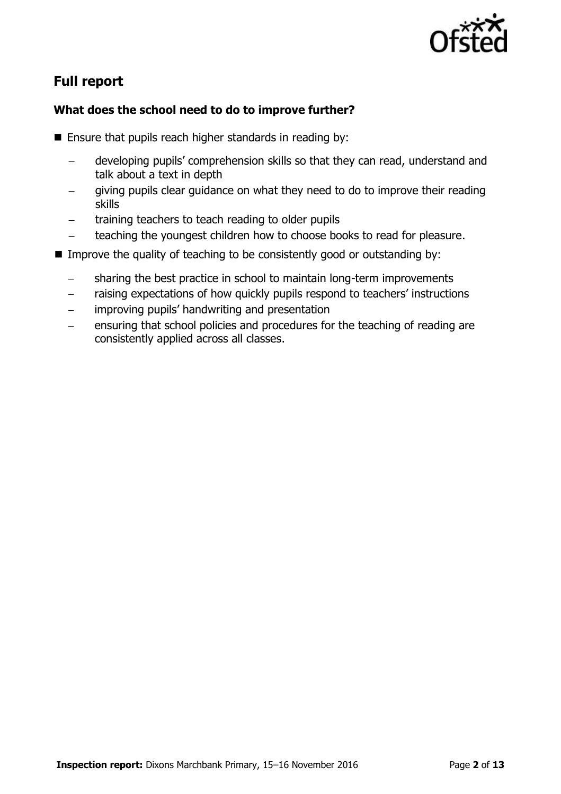

# **Full report**

### **What does the school need to do to improve further?**

- $\blacksquare$  Ensure that pupils reach higher standards in reading by:
	- developing pupils' comprehension skills so that they can read, understand and talk about a text in depth
	- giving pupils clear guidance on what they need to do to improve their reading skills
	- training teachers to teach reading to older pupils
	- teaching the youngest children how to choose books to read for pleasure.
- Improve the quality of teaching to be consistently good or outstanding by:
	- sharing the best practice in school to maintain long-term improvements
	- raising expectations of how quickly pupils respond to teachers' instructions
	- improving pupils' handwriting and presentation
	- ensuring that school policies and procedures for the teaching of reading are consistently applied across all classes.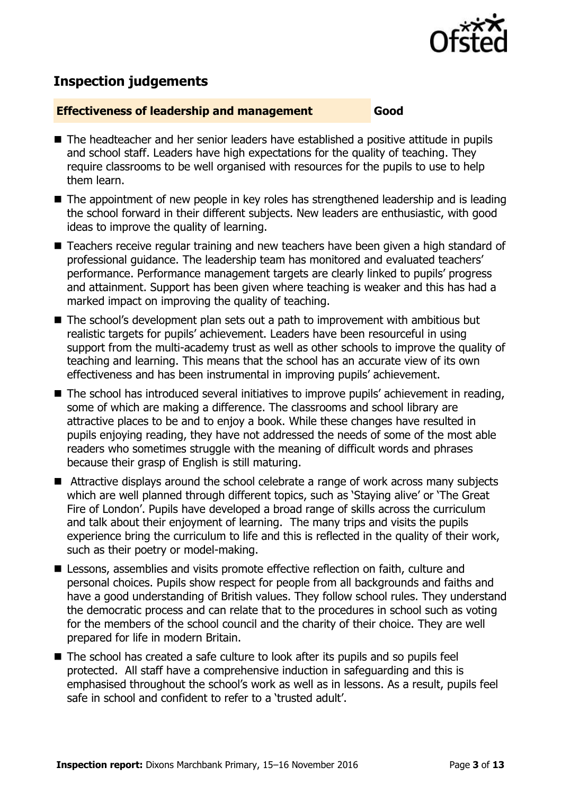

# **Inspection judgements**

#### **Effectiveness of leadership and management Good**

- The headteacher and her senior leaders have established a positive attitude in pupils and school staff. Leaders have high expectations for the quality of teaching. They require classrooms to be well organised with resources for the pupils to use to help them learn.
- The appointment of new people in key roles has strengthened leadership and is leading the school forward in their different subjects. New leaders are enthusiastic, with good ideas to improve the quality of learning.
- Teachers receive regular training and new teachers have been given a high standard of professional guidance. The leadership team has monitored and evaluated teachers' performance. Performance management targets are clearly linked to pupils' progress and attainment. Support has been given where teaching is weaker and this has had a marked impact on improving the quality of teaching.
- The school's development plan sets out a path to improvement with ambitious but realistic targets for pupils' achievement. Leaders have been resourceful in using support from the multi-academy trust as well as other schools to improve the quality of teaching and learning. This means that the school has an accurate view of its own effectiveness and has been instrumental in improving pupils' achievement.
- The school has introduced several initiatives to improve pupils' achievement in reading, some of which are making a difference. The classrooms and school library are attractive places to be and to enjoy a book. While these changes have resulted in pupils enjoying reading, they have not addressed the needs of some of the most able readers who sometimes struggle with the meaning of difficult words and phrases because their grasp of English is still maturing.
- Attractive displays around the school celebrate a range of work across many subjects which are well planned through different topics, such as 'Staying alive' or 'The Great Fire of London'. Pupils have developed a broad range of skills across the curriculum and talk about their enjoyment of learning. The many trips and visits the pupils experience bring the curriculum to life and this is reflected in the quality of their work, such as their poetry or model-making.
- Lessons, assemblies and visits promote effective reflection on faith, culture and personal choices. Pupils show respect for people from all backgrounds and faiths and have a good understanding of British values. They follow school rules. They understand the democratic process and can relate that to the procedures in school such as voting for the members of the school council and the charity of their choice. They are well prepared for life in modern Britain.
- The school has created a safe culture to look after its pupils and so pupils feel protected. All staff have a comprehensive induction in safeguarding and this is emphasised throughout the school's work as well as in lessons. As a result, pupils feel safe in school and confident to refer to a 'trusted adult'.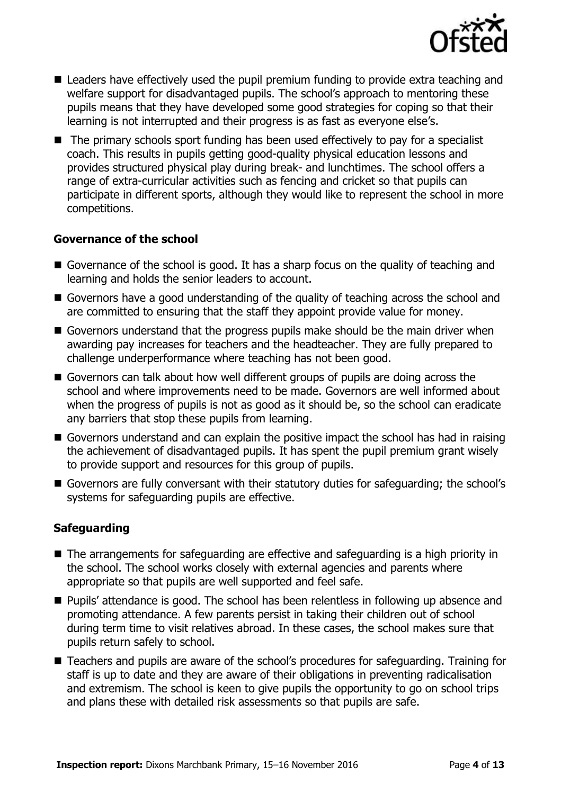

- Leaders have effectively used the pupil premium funding to provide extra teaching and welfare support for disadvantaged pupils. The school's approach to mentoring these pupils means that they have developed some good strategies for coping so that their learning is not interrupted and their progress is as fast as everyone else's.
- The primary schools sport funding has been used effectively to pay for a specialist coach. This results in pupils getting good-quality physical education lessons and provides structured physical play during break- and lunchtimes. The school offers a range of extra-curricular activities such as fencing and cricket so that pupils can participate in different sports, although they would like to represent the school in more competitions.

#### **Governance of the school**

- Governance of the school is good. It has a sharp focus on the quality of teaching and learning and holds the senior leaders to account.
- Governors have a good understanding of the quality of teaching across the school and are committed to ensuring that the staff they appoint provide value for money.
- Governors understand that the progress pupils make should be the main driver when awarding pay increases for teachers and the headteacher. They are fully prepared to challenge underperformance where teaching has not been good.
- Governors can talk about how well different groups of pupils are doing across the school and where improvements need to be made. Governors are well informed about when the progress of pupils is not as good as it should be, so the school can eradicate any barriers that stop these pupils from learning.
- Governors understand and can explain the positive impact the school has had in raising the achievement of disadvantaged pupils. It has spent the pupil premium grant wisely to provide support and resources for this group of pupils.
- Governors are fully conversant with their statutory duties for safeguarding; the school's systems for safeguarding pupils are effective.

### **Safeguarding**

- The arrangements for safeguarding are effective and safeguarding is a high priority in the school. The school works closely with external agencies and parents where appropriate so that pupils are well supported and feel safe.
- Pupils' attendance is good. The school has been relentless in following up absence and promoting attendance. A few parents persist in taking their children out of school during term time to visit relatives abroad. In these cases, the school makes sure that pupils return safely to school.
- Teachers and pupils are aware of the school's procedures for safeguarding. Training for staff is up to date and they are aware of their obligations in preventing radicalisation and extremism. The school is keen to give pupils the opportunity to go on school trips and plans these with detailed risk assessments so that pupils are safe.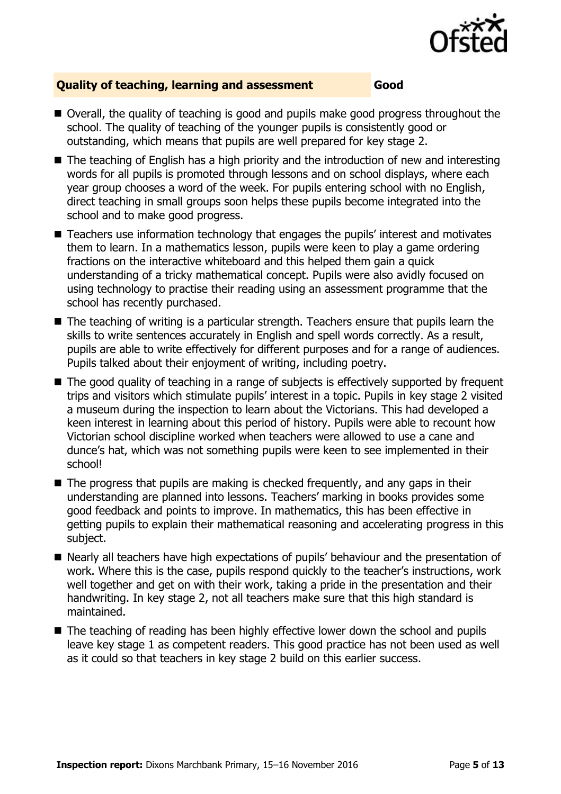

#### **Quality of teaching, learning and assessment Good**

- Overall, the quality of teaching is good and pupils make good progress throughout the school. The quality of teaching of the younger pupils is consistently good or outstanding, which means that pupils are well prepared for key stage 2.
- The teaching of English has a high priority and the introduction of new and interesting words for all pupils is promoted through lessons and on school displays, where each year group chooses a word of the week. For pupils entering school with no English, direct teaching in small groups soon helps these pupils become integrated into the school and to make good progress.
- Teachers use information technology that engages the pupils' interest and motivates them to learn. In a mathematics lesson, pupils were keen to play a game ordering fractions on the interactive whiteboard and this helped them gain a quick understanding of a tricky mathematical concept. Pupils were also avidly focused on using technology to practise their reading using an assessment programme that the school has recently purchased.
- The teaching of writing is a particular strength. Teachers ensure that pupils learn the skills to write sentences accurately in English and spell words correctly. As a result, pupils are able to write effectively for different purposes and for a range of audiences. Pupils talked about their enjoyment of writing, including poetry.
- The good quality of teaching in a range of subjects is effectively supported by frequent trips and visitors which stimulate pupils' interest in a topic. Pupils in key stage 2 visited a museum during the inspection to learn about the Victorians. This had developed a keen interest in learning about this period of history. Pupils were able to recount how Victorian school discipline worked when teachers were allowed to use a cane and dunce's hat, which was not something pupils were keen to see implemented in their school!
- $\blacksquare$  The progress that pupils are making is checked frequently, and any gaps in their understanding are planned into lessons. Teachers' marking in books provides some good feedback and points to improve. In mathematics, this has been effective in getting pupils to explain their mathematical reasoning and accelerating progress in this subject.
- Nearly all teachers have high expectations of pupils' behaviour and the presentation of work. Where this is the case, pupils respond quickly to the teacher's instructions, work well together and get on with their work, taking a pride in the presentation and their handwriting. In key stage 2, not all teachers make sure that this high standard is maintained.
- The teaching of reading has been highly effective lower down the school and pupils leave key stage 1 as competent readers. This good practice has not been used as well as it could so that teachers in key stage 2 build on this earlier success.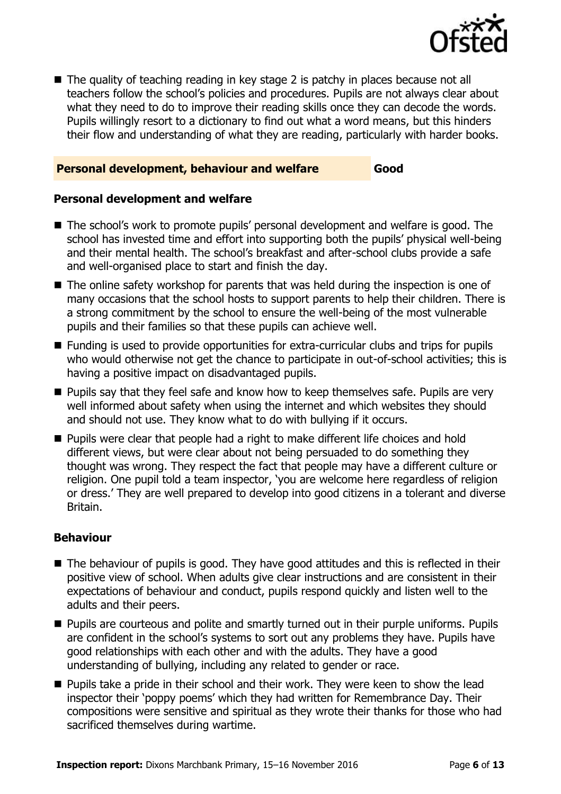

■ The quality of teaching reading in key stage 2 is patchy in places because not all teachers follow the school's policies and procedures. Pupils are not always clear about what they need to do to improve their reading skills once they can decode the words. Pupils willingly resort to a dictionary to find out what a word means, but this hinders their flow and understanding of what they are reading, particularly with harder books.

#### **Personal development, behaviour and welfare Good**

#### **Personal development and welfare**

- The school's work to promote pupils' personal development and welfare is good. The school has invested time and effort into supporting both the pupils' physical well-being and their mental health. The school's breakfast and after-school clubs provide a safe and well-organised place to start and finish the day.
- The online safety workshop for parents that was held during the inspection is one of many occasions that the school hosts to support parents to help their children. There is a strong commitment by the school to ensure the well-being of the most vulnerable pupils and their families so that these pupils can achieve well.
- Funding is used to provide opportunities for extra-curricular clubs and trips for pupils who would otherwise not get the chance to participate in out-of-school activities; this is having a positive impact on disadvantaged pupils.
- **Pupils say that they feel safe and know how to keep themselves safe. Pupils are very** well informed about safety when using the internet and which websites they should and should not use. They know what to do with bullying if it occurs.
- **Pupils were clear that people had a right to make different life choices and hold** different views, but were clear about not being persuaded to do something they thought was wrong. They respect the fact that people may have a different culture or religion. One pupil told a team inspector, 'you are welcome here regardless of religion or dress.' They are well prepared to develop into good citizens in a tolerant and diverse Britain.

#### **Behaviour**

- The behaviour of pupils is good. They have good attitudes and this is reflected in their positive view of school. When adults give clear instructions and are consistent in their expectations of behaviour and conduct, pupils respond quickly and listen well to the adults and their peers.
- **Pupils are courteous and polite and smartly turned out in their purple uniforms. Pupils** are confident in the school's systems to sort out any problems they have. Pupils have good relationships with each other and with the adults. They have a good understanding of bullying, including any related to gender or race.
- **Pupils take a pride in their school and their work. They were keen to show the lead** inspector their 'poppy poems' which they had written for Remembrance Day. Their compositions were sensitive and spiritual as they wrote their thanks for those who had sacrificed themselves during wartime.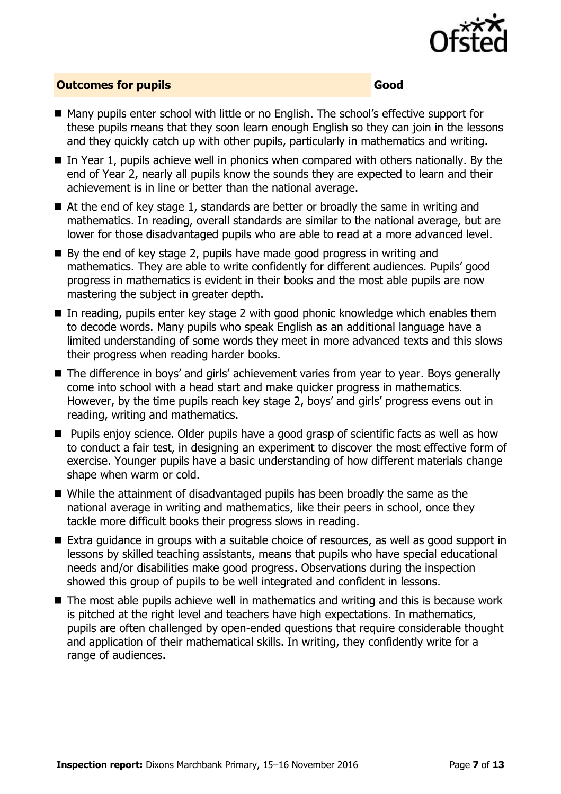

#### **Outcomes for pupils Good**

- Many pupils enter school with little or no English. The school's effective support for these pupils means that they soon learn enough English so they can join in the lessons and they quickly catch up with other pupils, particularly in mathematics and writing.
- $\blacksquare$  In Year 1, pupils achieve well in phonics when compared with others nationally. By the end of Year 2, nearly all pupils know the sounds they are expected to learn and their achievement is in line or better than the national average.
- At the end of key stage 1, standards are better or broadly the same in writing and mathematics. In reading, overall standards are similar to the national average, but are lower for those disadvantaged pupils who are able to read at a more advanced level.
- $\blacksquare$  By the end of key stage 2, pupils have made good progress in writing and mathematics. They are able to write confidently for different audiences. Pupils' good progress in mathematics is evident in their books and the most able pupils are now mastering the subject in greater depth.
- In reading, pupils enter key stage 2 with good phonic knowledge which enables them to decode words. Many pupils who speak English as an additional language have a limited understanding of some words they meet in more advanced texts and this slows their progress when reading harder books.
- The difference in boys' and girls' achievement varies from year to year. Boys generally come into school with a head start and make quicker progress in mathematics. However, by the time pupils reach key stage 2, boys' and girls' progress evens out in reading, writing and mathematics.
- **Pupils enjoy science. Older pupils have a good grasp of scientific facts as well as how** to conduct a fair test, in designing an experiment to discover the most effective form of exercise. Younger pupils have a basic understanding of how different materials change shape when warm or cold.
- While the attainment of disadvantaged pupils has been broadly the same as the national average in writing and mathematics, like their peers in school, once they tackle more difficult books their progress slows in reading.
- Extra guidance in groups with a suitable choice of resources, as well as good support in lessons by skilled teaching assistants, means that pupils who have special educational needs and/or disabilities make good progress. Observations during the inspection showed this group of pupils to be well integrated and confident in lessons.
- The most able pupils achieve well in mathematics and writing and this is because work is pitched at the right level and teachers have high expectations. In mathematics, pupils are often challenged by open-ended questions that require considerable thought and application of their mathematical skills. In writing, they confidently write for a range of audiences.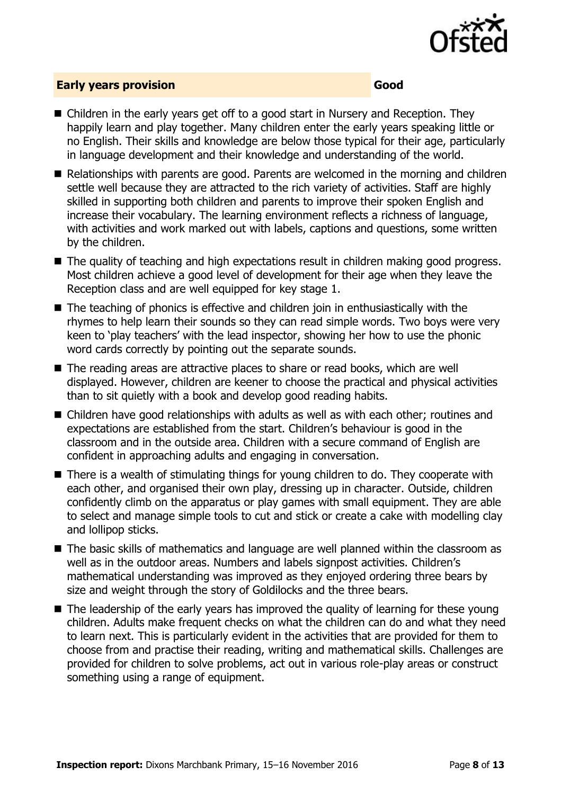

#### **Early years provision Good**

- Children in the early years get off to a good start in Nursery and Reception. They happily learn and play together. Many children enter the early years speaking little or no English. Their skills and knowledge are below those typical for their age, particularly in language development and their knowledge and understanding of the world.
- Relationships with parents are good. Parents are welcomed in the morning and children settle well because they are attracted to the rich variety of activities. Staff are highly skilled in supporting both children and parents to improve their spoken English and increase their vocabulary. The learning environment reflects a richness of language, with activities and work marked out with labels, captions and questions, some written by the children.
- The quality of teaching and high expectations result in children making good progress. Most children achieve a good level of development for their age when they leave the Reception class and are well equipped for key stage 1.
- The teaching of phonics is effective and children join in enthusiastically with the rhymes to help learn their sounds so they can read simple words. Two boys were very keen to 'play teachers' with the lead inspector, showing her how to use the phonic word cards correctly by pointing out the separate sounds.
- The reading areas are attractive places to share or read books, which are well displayed. However, children are keener to choose the practical and physical activities than to sit quietly with a book and develop good reading habits.
- Children have good relationships with adults as well as with each other; routines and expectations are established from the start. Children's behaviour is good in the classroom and in the outside area. Children with a secure command of English are confident in approaching adults and engaging in conversation.
- There is a wealth of stimulating things for young children to do. They cooperate with each other, and organised their own play, dressing up in character. Outside, children confidently climb on the apparatus or play games with small equipment. They are able to select and manage simple tools to cut and stick or create a cake with modelling clay and lollipop sticks.
- The basic skills of mathematics and language are well planned within the classroom as well as in the outdoor areas. Numbers and labels signpost activities. Children's mathematical understanding was improved as they enjoyed ordering three bears by size and weight through the story of Goldilocks and the three bears.
- The leadership of the early years has improved the quality of learning for these young children. Adults make frequent checks on what the children can do and what they need to learn next. This is particularly evident in the activities that are provided for them to choose from and practise their reading, writing and mathematical skills. Challenges are provided for children to solve problems, act out in various role-play areas or construct something using a range of equipment.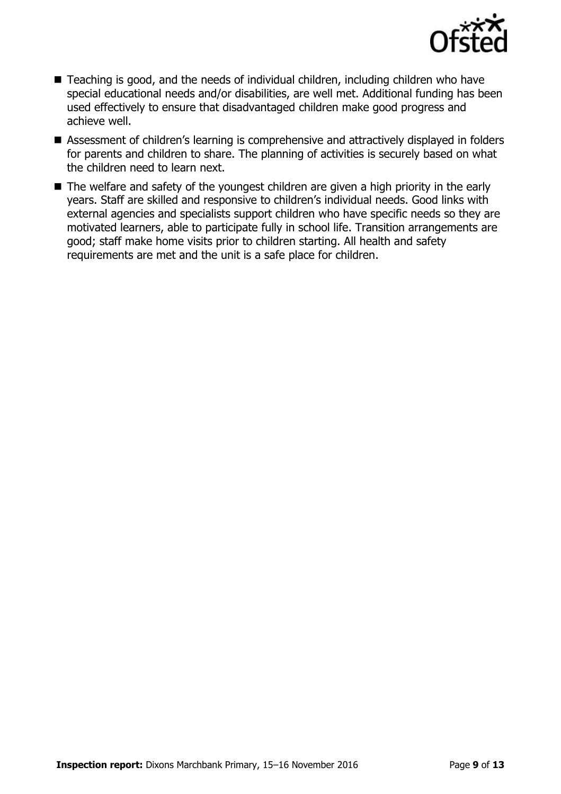

- Teaching is good, and the needs of individual children, including children who have special educational needs and/or disabilities, are well met. Additional funding has been used effectively to ensure that disadvantaged children make good progress and achieve well.
- Assessment of children's learning is comprehensive and attractively displayed in folders for parents and children to share. The planning of activities is securely based on what the children need to learn next.
- The welfare and safety of the youngest children are given a high priority in the early years. Staff are skilled and responsive to children's individual needs. Good links with external agencies and specialists support children who have specific needs so they are motivated learners, able to participate fully in school life. Transition arrangements are good; staff make home visits prior to children starting. All health and safety requirements are met and the unit is a safe place for children.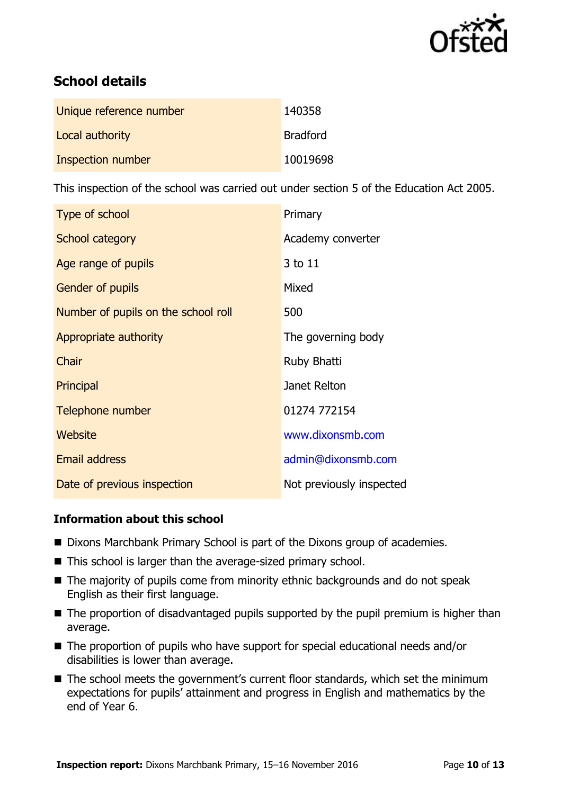

# **School details**

| Unique reference number | 140358          |
|-------------------------|-----------------|
| Local authority         | <b>Bradford</b> |
| Inspection number       | 10019698        |

This inspection of the school was carried out under section 5 of the Education Act 2005.

| Type of school                      | Primary                  |
|-------------------------------------|--------------------------|
| <b>School category</b>              | Academy converter        |
| Age range of pupils                 | 3 to 11                  |
| Gender of pupils                    | Mixed                    |
| Number of pupils on the school roll | 500                      |
| Appropriate authority               | The governing body       |
| Chair                               | Ruby Bhatti              |
| Principal                           | Janet Relton             |
| Telephone number                    | 01274 772154             |
| Website                             | www.dixonsmb.com         |
| <b>Email address</b>                | admin@dixonsmb.com       |
| Date of previous inspection         | Not previously inspected |

#### **Information about this school**

- Dixons Marchbank Primary School is part of the Dixons group of academies.
- This school is larger than the average-sized primary school.
- The majority of pupils come from minority ethnic backgrounds and do not speak English as their first language.
- The proportion of disadvantaged pupils supported by the pupil premium is higher than average.
- The proportion of pupils who have support for special educational needs and/or disabilities is lower than average.
- The school meets the government's current floor standards, which set the minimum expectations for pupils' attainment and progress in English and mathematics by the end of Year 6.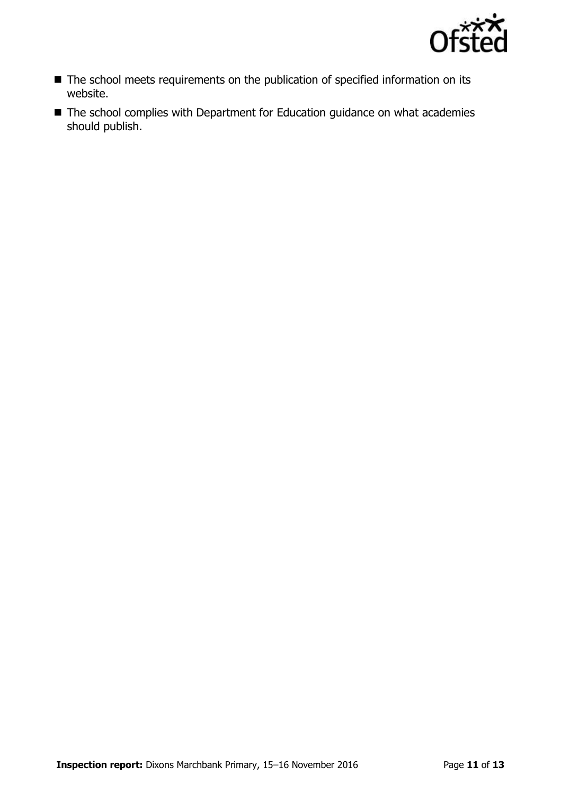

- The school meets requirements on the publication of specified information on its website.
- The school complies with Department for Education guidance on what academies should publish.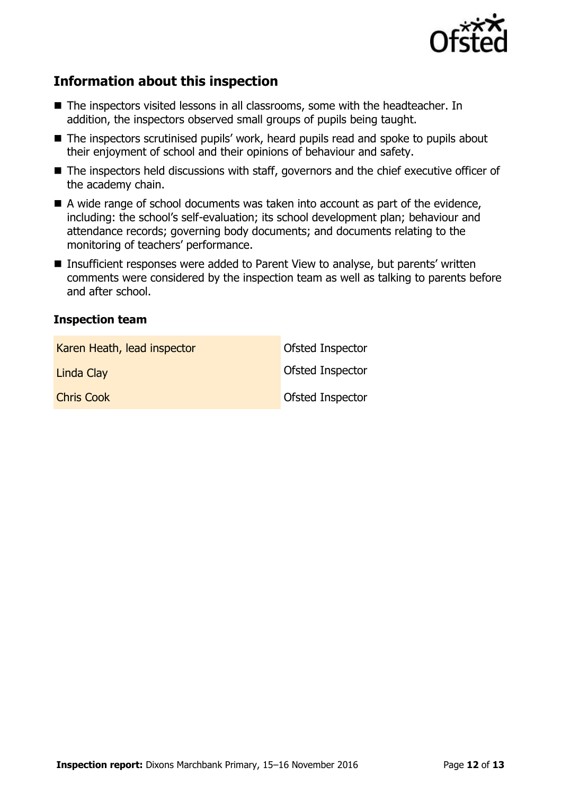

## **Information about this inspection**

- The inspectors visited lessons in all classrooms, some with the headteacher. In addition, the inspectors observed small groups of pupils being taught.
- The inspectors scrutinised pupils' work, heard pupils read and spoke to pupils about their enjoyment of school and their opinions of behaviour and safety.
- The inspectors held discussions with staff, governors and the chief executive officer of the academy chain.
- $\blacksquare$  A wide range of school documents was taken into account as part of the evidence, including: the school's self-evaluation; its school development plan; behaviour and attendance records; governing body documents; and documents relating to the monitoring of teachers' performance.
- Insufficient responses were added to Parent View to analyse, but parents' written comments were considered by the inspection team as well as talking to parents before and after school.

#### **Inspection team**

| Karen Heath, lead inspector | Ofsted Inspector        |
|-----------------------------|-------------------------|
| Linda Clay                  | <b>Ofsted Inspector</b> |
| <b>Chris Cook</b>           | Ofsted Inspector        |